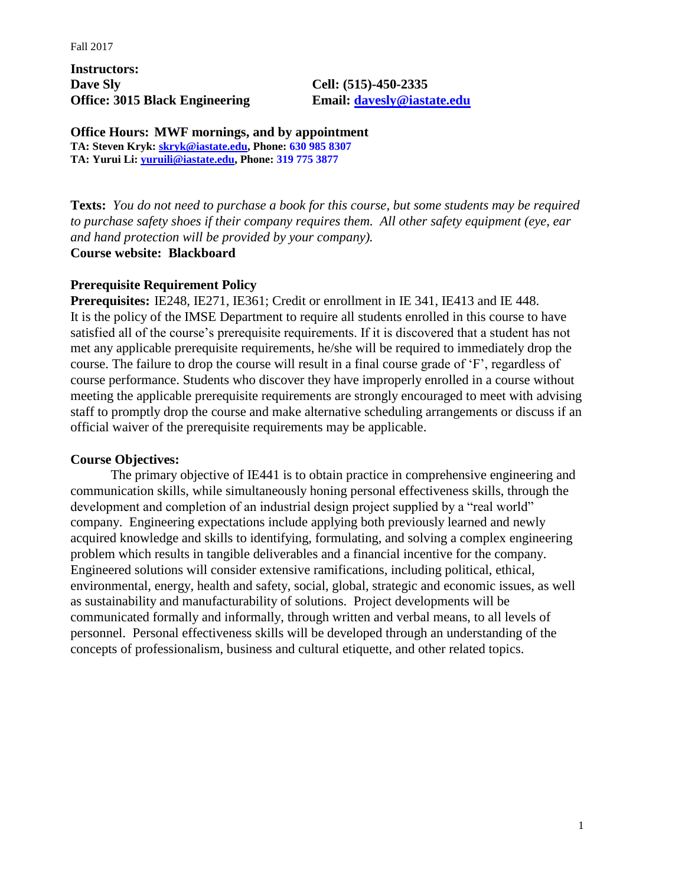**Instructors: Dave Sly Cell: (515)-450-2335 Office: 3015 Black Engineering Email: [davesly@iastate.edu](mailto:davesly@iastate.edu)**

**Office Hours: MWF mornings, and by appointment TA: Steven Kryk: [skryk@iastate.edu,](mailto:skryk@iastate.edu) Phone: [630 985 8307](tel:+1%20630%20985%208307) TA: Yurui Li: [yuruili@iastate.edu,](mailto:yuruili@iastate.edu) Phone: [319 775 3877](tel:+1%20319%20775%203877)**

**Texts:** *You do not need to purchase a book for this course, but some students may be required to purchase safety shoes if their company requires them. All other safety equipment (eye, ear and hand protection will be provided by your company).*

**Course website: Blackboard**

## **Prerequisite Requirement Policy**

**Prerequisites:** IE248, IE271, IE361; Credit or enrollment in IE 341, IE413 and IE 448. It is the policy of the IMSE Department to require all students enrolled in this course to have satisfied all of the course's prerequisite requirements. If it is discovered that a student has not met any applicable prerequisite requirements, he/she will be required to immediately drop the course. The failure to drop the course will result in a final course grade of 'F', regardless of course performance. Students who discover they have improperly enrolled in a course without meeting the applicable prerequisite requirements are strongly encouraged to meet with advising staff to promptly drop the course and make alternative scheduling arrangements or discuss if an official waiver of the prerequisite requirements may be applicable.

## **Course Objectives:**

The primary objective of IE441 is to obtain practice in comprehensive engineering and communication skills, while simultaneously honing personal effectiveness skills, through the development and completion of an industrial design project supplied by a "real world" company. Engineering expectations include applying both previously learned and newly acquired knowledge and skills to identifying, formulating, and solving a complex engineering problem which results in tangible deliverables and a financial incentive for the company. Engineered solutions will consider extensive ramifications, including political, ethical, environmental, energy, health and safety, social, global, strategic and economic issues, as well as sustainability and manufacturability of solutions. Project developments will be communicated formally and informally, through written and verbal means, to all levels of personnel. Personal effectiveness skills will be developed through an understanding of the concepts of professionalism, business and cultural etiquette, and other related topics.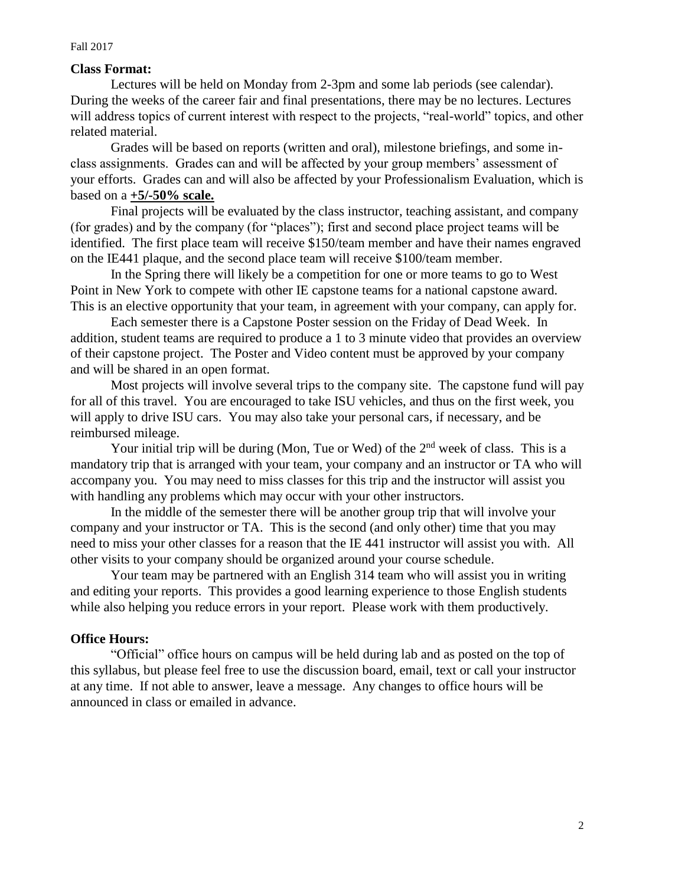## **Class Format:**

Lectures will be held on Monday from 2-3pm and some lab periods (see calendar). During the weeks of the career fair and final presentations, there may be no lectures. Lectures will address topics of current interest with respect to the projects, "real-world" topics, and other related material.

Grades will be based on reports (written and oral), milestone briefings, and some inclass assignments. Grades can and will be affected by your group members' assessment of your efforts. Grades can and will also be affected by your Professionalism Evaluation, which is based on a **+5/-50% scale.**

Final projects will be evaluated by the class instructor, teaching assistant, and company (for grades) and by the company (for "places"); first and second place project teams will be identified. The first place team will receive \$150/team member and have their names engraved on the IE441 plaque, and the second place team will receive \$100/team member.

In the Spring there will likely be a competition for one or more teams to go to West Point in New York to compete with other IE capstone teams for a national capstone award. This is an elective opportunity that your team, in agreement with your company, can apply for.

Each semester there is a Capstone Poster session on the Friday of Dead Week. In addition, student teams are required to produce a 1 to 3 minute video that provides an overview of their capstone project. The Poster and Video content must be approved by your company and will be shared in an open format.

Most projects will involve several trips to the company site. The capstone fund will pay for all of this travel. You are encouraged to take ISU vehicles, and thus on the first week, you will apply to drive ISU cars. You may also take your personal cars, if necessary, and be reimbursed mileage.

Your initial trip will be during (Mon, Tue or Wed) of the  $2<sup>nd</sup>$  week of class. This is a mandatory trip that is arranged with your team, your company and an instructor or TA who will accompany you. You may need to miss classes for this trip and the instructor will assist you with handling any problems which may occur with your other instructors.

In the middle of the semester there will be another group trip that will involve your company and your instructor or TA. This is the second (and only other) time that you may need to miss your other classes for a reason that the IE 441 instructor will assist you with. All other visits to your company should be organized around your course schedule.

Your team may be partnered with an English 314 team who will assist you in writing and editing your reports. This provides a good learning experience to those English students while also helping you reduce errors in your report. Please work with them productively.

## **Office Hours:**

"Official" office hours on campus will be held during lab and as posted on the top of this syllabus, but please feel free to use the discussion board, email, text or call your instructor at any time. If not able to answer, leave a message. Any changes to office hours will be announced in class or emailed in advance.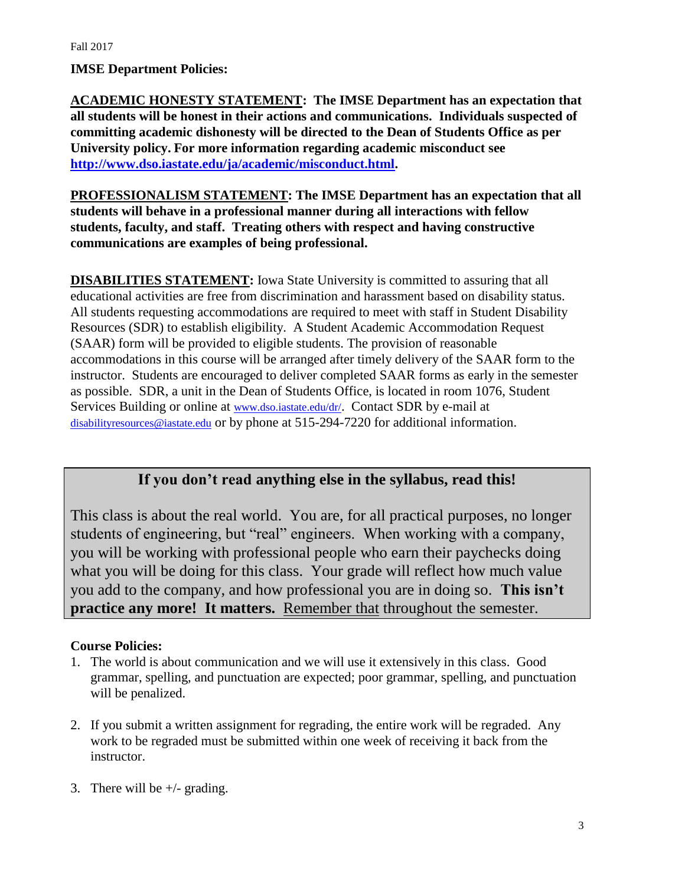# **IMSE Department Policies:**

**ACADEMIC HONESTY STATEMENT: The IMSE Department has an expectation that all students will be honest in their actions and communications. Individuals suspected of committing academic dishonesty will be directed to the Dean of Students Office as per University policy. For more information regarding academic misconduct see [http://www.dso.iastate.edu/ja/academic/misconduct.html.](http://www.dso.iastate.edu/ja/academic/misconduct.html)**

**PROFESSIONALISM STATEMENT: The IMSE Department has an expectation that all students will behave in a professional manner during all interactions with fellow students, faculty, and staff. Treating others with respect and having constructive communications are examples of being professional.**

**DISABILITIES STATEMENT:** Iowa State University is committed to assuring that all educational activities are free from discrimination and harassment based on disability status. All students requesting accommodations are required to meet with staff in Student Disability Resources (SDR) to establish eligibility. A Student Academic Accommodation Request (SAAR) form will be provided to eligible students. The provision of reasonable accommodations in this course will be arranged after timely delivery of the SAAR form to the instructor. Students are encouraged to deliver completed SAAR forms as early in the semester as possible. SDR, a unit in the Dean of Students Office, is located in room 1076, Student Services Building or online at [www.dso.iastate.edu/dr/](http://www.dso.iastate.edu/dr/). Contact SDR by e-mail at [disabilityresources@iastate.edu](mailto:disabilityresources@iastate.edu) or by phone at 515-294-7220 for additional information.

# **If you don't read anything else in the syllabus, read this!**

This class is about the real world. You are, for all practical purposes, no longer students of engineering, but "real" engineers. When working with a company, you will be working with professional people who earn their paychecks doing what you will be doing for this class. Your grade will reflect how much value you add to the company, and how professional you are in doing so. **This isn't practice any more! It matters.** Remember that throughout the semester.

# **Course Policies:**

- 1. The world is about communication and we will use it extensively in this class. Good grammar, spelling, and punctuation are expected; poor grammar, spelling, and punctuation will be penalized.
- 2. If you submit a written assignment for regrading, the entire work will be regraded. Any work to be regraded must be submitted within one week of receiving it back from the instructor.
- 3. There will be  $+/-$  grading.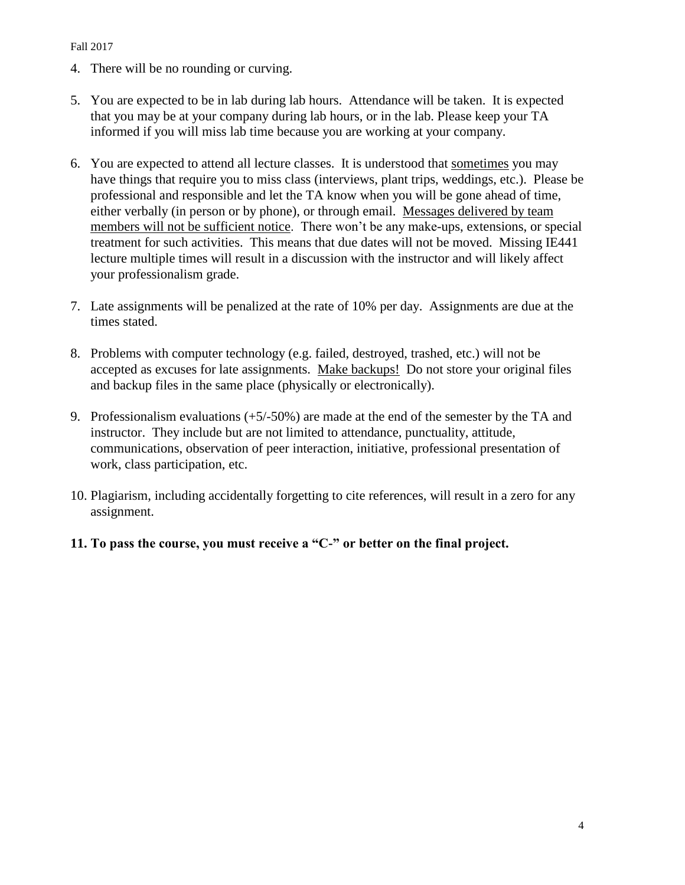- 4. There will be no rounding or curving.
- 5. You are expected to be in lab during lab hours. Attendance will be taken. It is expected that you may be at your company during lab hours, or in the lab. Please keep your TA informed if you will miss lab time because you are working at your company.
- 6. You are expected to attend all lecture classes. It is understood that sometimes you may have things that require you to miss class (interviews, plant trips, weddings, etc.). Please be professional and responsible and let the TA know when you will be gone ahead of time, either verbally (in person or by phone), or through email. Messages delivered by team members will not be sufficient notice. There won't be any make-ups, extensions, or special treatment for such activities. This means that due dates will not be moved. Missing IE441 lecture multiple times will result in a discussion with the instructor and will likely affect your professionalism grade.
- 7. Late assignments will be penalized at the rate of 10% per day. Assignments are due at the times stated.
- 8. Problems with computer technology (e.g. failed, destroyed, trashed, etc.) will not be accepted as excuses for late assignments. Make backups! Do not store your original files and backup files in the same place (physically or electronically).
- 9. Professionalism evaluations (+5/-50%) are made at the end of the semester by the TA and instructor. They include but are not limited to attendance, punctuality, attitude, communications, observation of peer interaction, initiative, professional presentation of work, class participation, etc.
- 10. Plagiarism, including accidentally forgetting to cite references, will result in a zero for any assignment.
- **11. To pass the course, you must receive a "C-" or better on the final project.**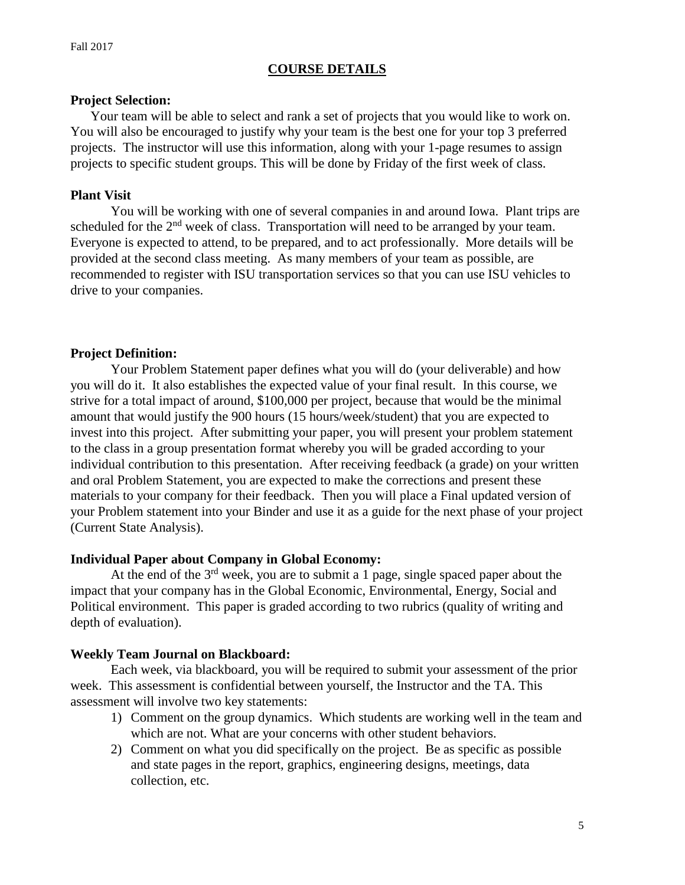# **COURSE DETAILS**

## **Project Selection:**

Your team will be able to select and rank a set of projects that you would like to work on. You will also be encouraged to justify why your team is the best one for your top 3 preferred projects. The instructor will use this information, along with your 1-page resumes to assign projects to specific student groups. This will be done by Friday of the first week of class.

## **Plant Visit**

You will be working with one of several companies in and around Iowa. Plant trips are scheduled for the  $2<sup>nd</sup>$  week of class. Transportation will need to be arranged by your team. Everyone is expected to attend, to be prepared, and to act professionally. More details will be provided at the second class meeting. As many members of your team as possible, are recommended to register with ISU transportation services so that you can use ISU vehicles to drive to your companies.

# **Project Definition:**

Your Problem Statement paper defines what you will do (your deliverable) and how you will do it. It also establishes the expected value of your final result. In this course, we strive for a total impact of around, \$100,000 per project, because that would be the minimal amount that would justify the 900 hours (15 hours/week/student) that you are expected to invest into this project. After submitting your paper, you will present your problem statement to the class in a group presentation format whereby you will be graded according to your individual contribution to this presentation. After receiving feedback (a grade) on your written and oral Problem Statement, you are expected to make the corrections and present these materials to your company for their feedback. Then you will place a Final updated version of your Problem statement into your Binder and use it as a guide for the next phase of your project (Current State Analysis).

# **Individual Paper about Company in Global Economy:**

At the end of the  $3<sup>rd</sup>$  week, you are to submit a 1 page, single spaced paper about the impact that your company has in the Global Economic, Environmental, Energy, Social and Political environment. This paper is graded according to two rubrics (quality of writing and depth of evaluation).

# **Weekly Team Journal on Blackboard:**

Each week, via blackboard, you will be required to submit your assessment of the prior week. This assessment is confidential between yourself, the Instructor and the TA. This assessment will involve two key statements:

- 1) Comment on the group dynamics. Which students are working well in the team and which are not. What are your concerns with other student behaviors.
- 2) Comment on what you did specifically on the project. Be as specific as possible and state pages in the report, graphics, engineering designs, meetings, data collection, etc.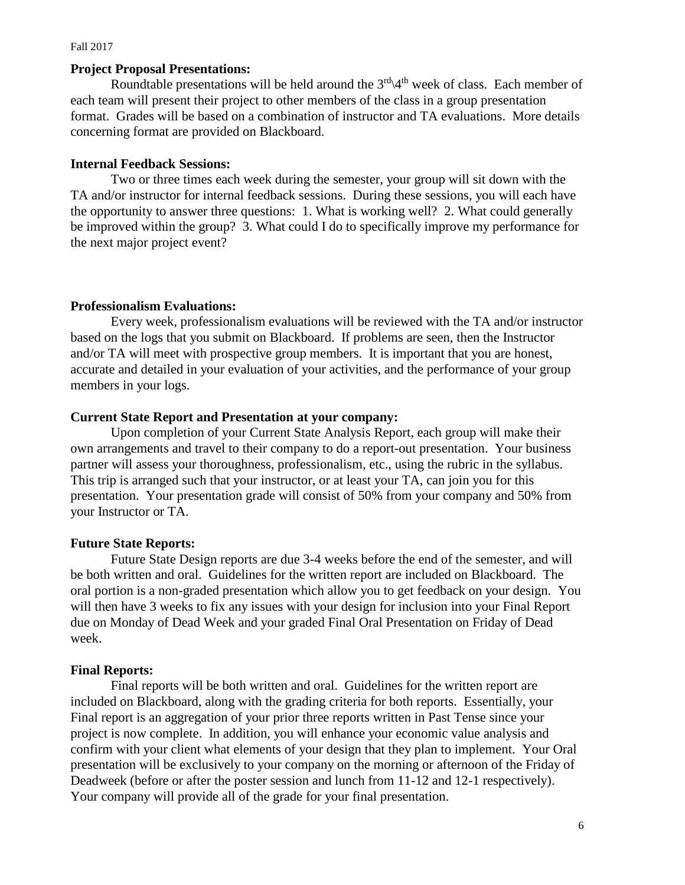#### **Project Proposal Presentations:**

Roundtable presentations will be held around the  $3<sup>rd</sup>\{4<sup>th</sup>$  week of class. Each member of each team will present their project to other members of the class in a group presentation format. Grades will be based on a combination of instructor and TA evaluations. More details concerning format are provided on Blackboard.

#### **Internal Feedback Sessions:**

Two or three times each week during the semester, your group will sit down with the TA and/or instructor for internal feedback sessions. During these sessions, you will each have the opportunity to answer three questions: 1. What is working well? 2. What could generally be improved within the group? 3. What could I do to specifically improve my performance for the next major project event?

#### **Professionalism Evaluations:**

Every week, professionalism evaluations will be reviewed with the TA and/or instructor based on the logs that you submit on Blackboard. If problems are seen, then the Instructor and/or TA will meet with prospective group members. It is important that you are honest, accurate and detailed in your evaluation of your activities, and the performance of your group members in your logs.

#### **Current State Report and Presentation at your company:**

Upon completion of your Current State Analysis Report, each group will make their own arrangements and travel to their company to do a report-out presentation. Your business partner will assess your thoroughness, professionalism, etc., using the rubric in the syllabus. This trip is arranged such that your instructor, or at least your TA, can join you for this presentation. Your presentation grade will consist of 50% from your company and 50% from your Instructor or TA.

## **Future State Reports:**

Future State Design reports are due 3-4 weeks before the end of the semester, and will be both written and oral. Guidelines for the written report are included on Blackboard. The oral portion is a non-graded presentation which allow you to get feedback on your design. You will then have 3 weeks to fix any issues with your design for inclusion into your Final Report due on Monday of Dead Week and your graded Final Oral Presentation on Friday of Dead week.

#### **Final Reports:**

Final reports will be both written and oral. Guidelines for the written report are included on Blackboard, along with the grading criteria for both reports. Essentially, your Final report is an aggregation of your prior three reports written in Past Tense since your project is now complete. In addition, you will enhance your economic value analysis and confirm with your client what elements of your design that they plan to implement. Your Oral presentation will be exclusively to your company on the morning or afternoon of the Friday of Deadweek (before or after the poster session and lunch from 11-12 and 12-1 respectively). Your company will provide all of the grade for your final presentation.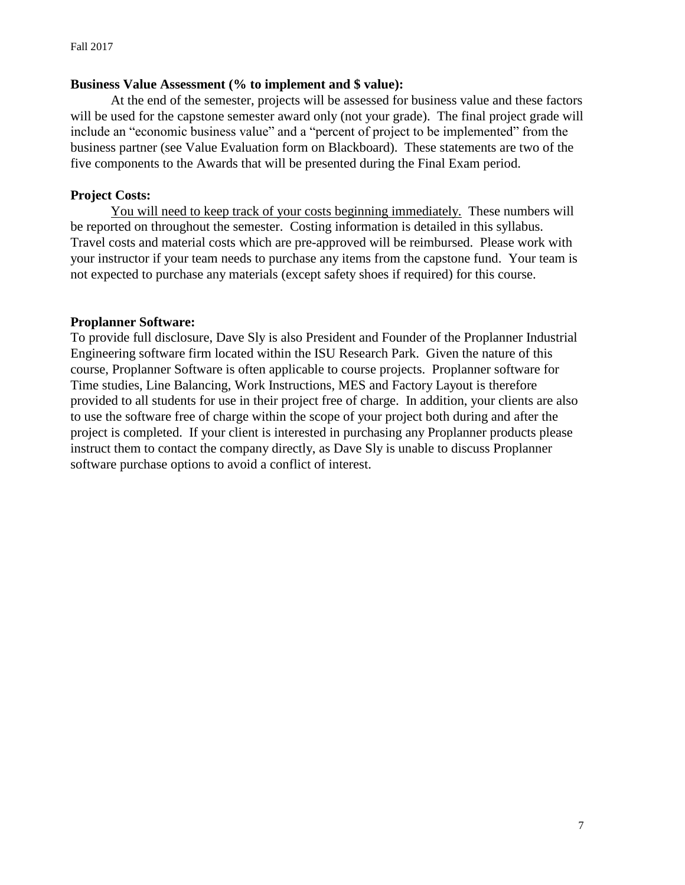#### **Business Value Assessment (% to implement and \$ value):**

At the end of the semester, projects will be assessed for business value and these factors will be used for the capstone semester award only (not your grade). The final project grade will include an "economic business value" and a "percent of project to be implemented" from the business partner (see Value Evaluation form on Blackboard). These statements are two of the five components to the Awards that will be presented during the Final Exam period.

## **Project Costs:**

You will need to keep track of your costs beginning immediately. These numbers will be reported on throughout the semester. Costing information is detailed in this syllabus. Travel costs and material costs which are pre-approved will be reimbursed. Please work with your instructor if your team needs to purchase any items from the capstone fund. Your team is not expected to purchase any materials (except safety shoes if required) for this course.

## **Proplanner Software:**

To provide full disclosure, Dave Sly is also President and Founder of the Proplanner Industrial Engineering software firm located within the ISU Research Park. Given the nature of this course, Proplanner Software is often applicable to course projects. Proplanner software for Time studies, Line Balancing, Work Instructions, MES and Factory Layout is therefore provided to all students for use in their project free of charge. In addition, your clients are also to use the software free of charge within the scope of your project both during and after the project is completed. If your client is interested in purchasing any Proplanner products please instruct them to contact the company directly, as Dave Sly is unable to discuss Proplanner software purchase options to avoid a conflict of interest.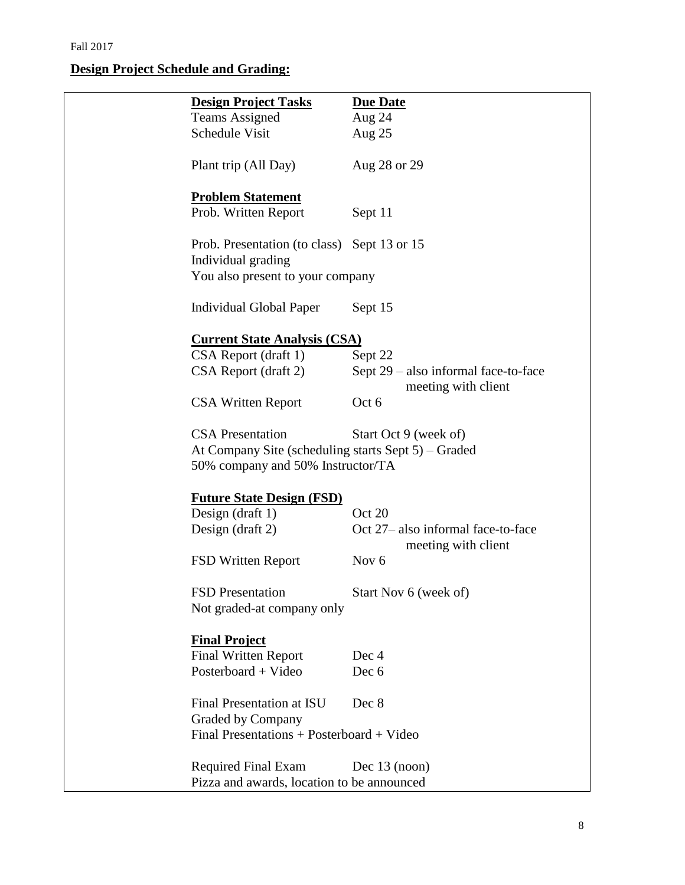# **Design Project Schedule and Grading:**

| <b>Design Project Tasks</b>                                                                                         | <b>Due Date</b>                                               |  |
|---------------------------------------------------------------------------------------------------------------------|---------------------------------------------------------------|--|
| <b>Teams Assigned</b>                                                                                               | Aug 24                                                        |  |
| Schedule Visit                                                                                                      | Aug $25$                                                      |  |
| Plant trip (All Day)                                                                                                | Aug 28 or 29                                                  |  |
| <b>Problem Statement</b>                                                                                            |                                                               |  |
| Prob. Written Report                                                                                                | Sept 11                                                       |  |
| Prob. Presentation (to class) Sept 13 or 15<br>Individual grading                                                   |                                                               |  |
| You also present to your company                                                                                    |                                                               |  |
| Individual Global Paper                                                                                             | Sept 15                                                       |  |
| <b>Current State Analysis (CSA)</b>                                                                                 |                                                               |  |
| CSA Report (draft 1)                                                                                                | Sept 22                                                       |  |
| CSA Report (draft 2)                                                                                                | Sept $29$ – also informal face-to-face<br>meeting with client |  |
| <b>CSA Written Report</b>                                                                                           | Oct 6                                                         |  |
| <b>CSA</b> Presentation<br>At Company Site (scheduling starts Sept 5) – Graded<br>50% company and 50% Instructor/TA | Start Oct 9 (week of)                                         |  |
| <b>Future State Design (FSD)</b>                                                                                    |                                                               |  |
| Design $(draff 1)$                                                                                                  | Oct 20                                                        |  |
| Design $(draff 2)$                                                                                                  | Oct 27– also informal face-to-face<br>meeting with client     |  |
| <b>FSD Written Report</b>                                                                                           | Nov <sub>6</sub>                                              |  |
| <b>FSD</b> Presentation                                                                                             | Start Nov 6 (week of)                                         |  |
| Not graded-at company only                                                                                          |                                                               |  |
| <b>Final Project</b>                                                                                                |                                                               |  |
| <b>Final Written Report</b>                                                                                         | Dec 4                                                         |  |
| Posterboard + Video                                                                                                 | Dec 6                                                         |  |
| Final Presentation at ISU                                                                                           | Dec 8                                                         |  |
| Graded by Company                                                                                                   |                                                               |  |
| Final Presentations + Posterboard + Video                                                                           |                                                               |  |
| <b>Required Final Exam</b>                                                                                          | Dec $13 \text{ (noon)}$                                       |  |
| Pizza and awards, location to be announced                                                                          |                                                               |  |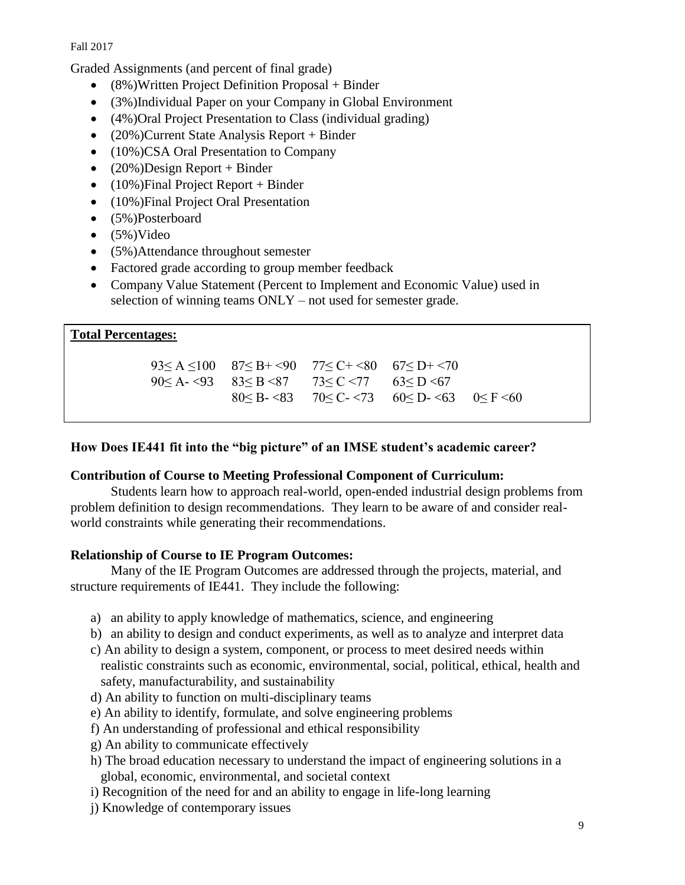Graded Assignments (and percent of final grade)

- (8%)Written Project Definition Proposal + Binder
- (3%)Individual Paper on your Company in Global Environment
- (4%)Oral Project Presentation to Class (individual grading)
- (20%)Current State Analysis Report + Binder
- (10%)CSA Oral Presentation to Company
- $(20\%)$ Design Report + Binder
- $\bullet$  (10%)Final Project Report + Binder
- (10%)Final Project Oral Presentation
- (5%)Posterboard
- $\bullet$  (5%)Video
- (5%)Attendance throughout semester
- Factored grade according to group member feedback
- Company Value Statement (Percent to Implement and Economic Value) used in selection of winning teams ONLY – not used for semester grade.

## **Total Percentages:**

| $93 < A < 100$ $87 < B + < 90$ $77 < C + < 80$ $67 < D + < 70$                                                                                                                                                                                                   |                                                                   |  |
|------------------------------------------------------------------------------------------------------------------------------------------------------------------------------------------------------------------------------------------------------------------|-------------------------------------------------------------------|--|
| 90 $\leq$ A $\leq$ $\leq$ $\leq$ $\leq$ $\leq$ $\leq$ $\leq$ $\leq$ $\leq$ $\leq$ $\leq$ $\leq$ $\leq$ $\leq$ $\leq$ $\leq$ $\leq$ $\leq$ $\leq$ $\leq$ $\leq$ $\leq$ $\leq$ $\leq$ $\leq$ $\leq$ $\leq$ $\leq$ $\leq$ $\leq$ $\leq$ $\leq$ $\leq$ $\leq$ $\leq$ |                                                                   |  |
|                                                                                                                                                                                                                                                                  | $80\leq B - 83$ $70\leq C - 73$ $60\leq D - 63$ $0\leq F \leq 60$ |  |

# **How Does IE441 fit into the "big picture" of an IMSE student's academic career?**

# **Contribution of Course to Meeting Professional Component of Curriculum:**

Students learn how to approach real-world, open-ended industrial design problems from problem definition to design recommendations. They learn to be aware of and consider realworld constraints while generating their recommendations.

## **Relationship of Course to IE Program Outcomes:**

Many of the IE Program Outcomes are addressed through the projects, material, and structure requirements of IE441. They include the following:

- a) an ability to apply knowledge of mathematics, science, and engineering
- b) an ability to design and conduct experiments, as well as to analyze and interpret data
- c) An ability to design a system, component, or process to meet desired needs within realistic constraints such as economic, environmental, social, political, ethical, health and safety, manufacturability, and sustainability
- d) An ability to function on multi-disciplinary teams
- e) An ability to identify, formulate, and solve engineering problems
- f) An understanding of professional and ethical responsibility
- g) An ability to communicate effectively
- h) The broad education necessary to understand the impact of engineering solutions in a global, economic, environmental, and societal context
- i) Recognition of the need for and an ability to engage in life-long learning
- j) Knowledge of contemporary issues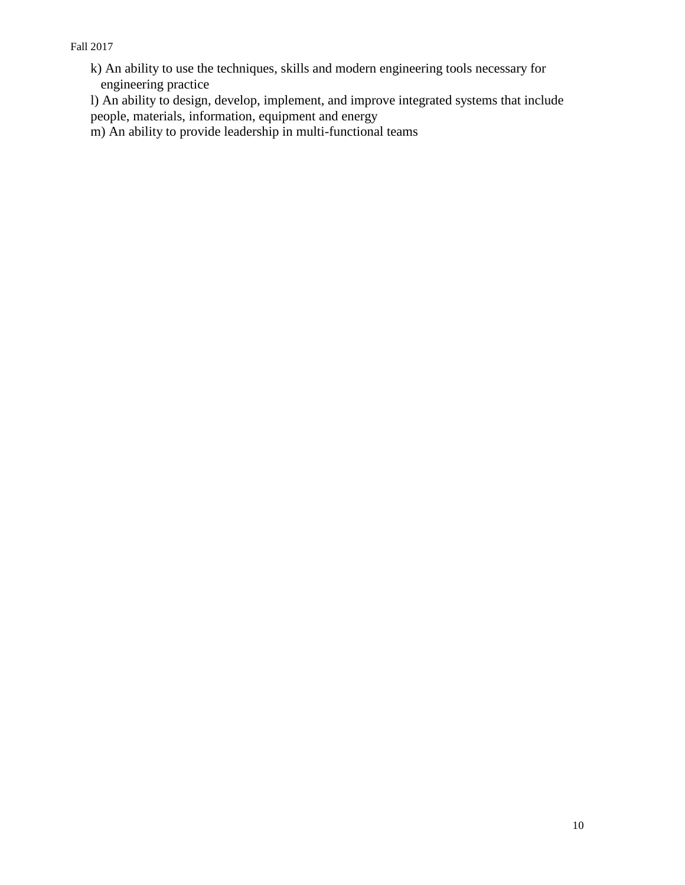- k) An ability to use the techniques, skills and modern engineering tools necessary for engineering practice
- l) An ability to design, develop, implement, and improve integrated systems that include people, materials, information, equipment and energy
- m) An ability to provide leadership in multi-functional teams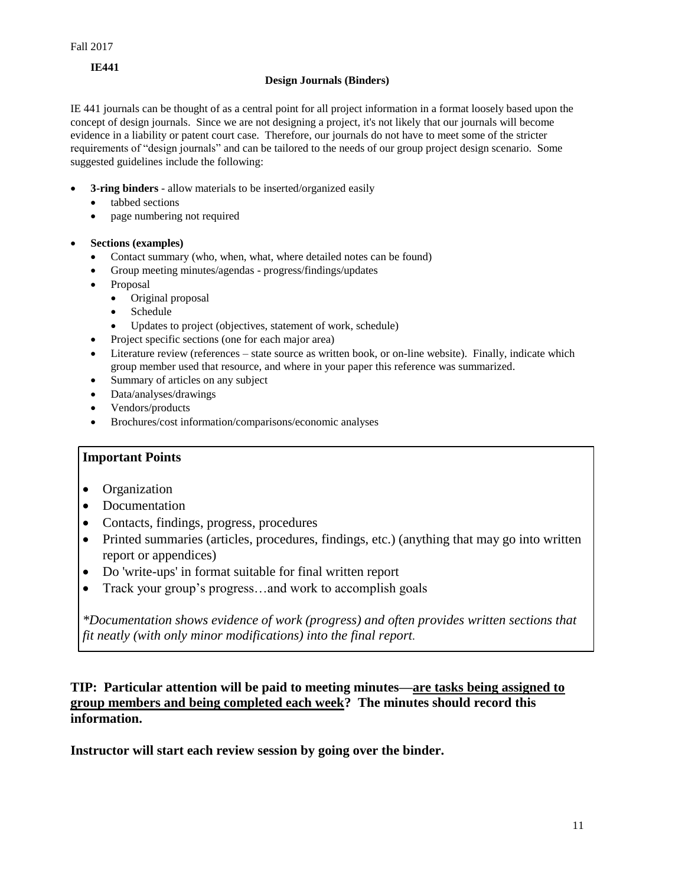#### **IE441**

#### **Design Journals (Binders)**

IE 441 journals can be thought of as a central point for all project information in a format loosely based upon the concept of design journals. Since we are not designing a project, it's not likely that our journals will become evidence in a liability or patent court case. Therefore, our journals do not have to meet some of the stricter requirements of "design journals" and can be tailored to the needs of our group project design scenario. Some suggested guidelines include the following:

- **3-ring binders** allow materials to be inserted/organized easily
	- tabbed sections
	- page numbering not required
- **Sections (examples)**
	- Contact summary (who, when, what, where detailed notes can be found)
	- Group meeting minutes/agendas progress/findings/updates
	- Proposal
		- Original proposal
		- Schedule
		- Updates to project (objectives, statement of work, schedule)
	- Project specific sections (one for each major area)
	- Literature review (references state source as written book, or on-line website). Finally, indicate which group member used that resource, and where in your paper this reference was summarized.
	- Summary of articles on any subject
	- Data/analyses/drawings
	- Vendors/products
	- Brochures/cost information/comparisons/economic analyses

#### **Important Points**

- Organization
- Documentation
- Contacts, findings, progress, procedures
- Printed summaries (articles, procedures, findings, etc.) (anything that may go into written report or appendices)
- Do 'write-ups' in format suitable for final written report
- Track your group's progress...and work to accomplish goals

*\*Documentation shows evidence of work (progress) and often provides written sections that fit neatly (with only minor modifications) into the final report.*

# **TIP: Particular attention will be paid to meeting minutes—are tasks being assigned to group members and being completed each week? The minutes should record this information.**

**Instructor will start each review session by going over the binder.**